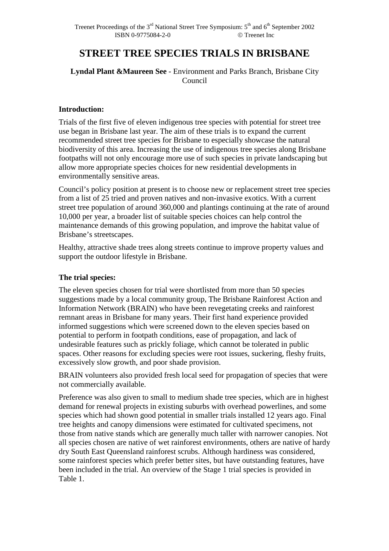# **STREET TREE SPECIES TRIALS IN BRISBANE**

#### **Lyndal Plant &Maureen See** - Environment and Parks Branch, Brisbane City Council

#### **Introduction:**

Trials of the first five of eleven indigenous tree species with potential for street tree use began in Brisbane last year. The aim of these trials is to expand the current recommended street tree species for Brisbane to especially showcase the natural biodiversity of this area. Increasing the use of indigenous tree species along Brisbane footpaths will not only encourage more use of such species in private landscaping but allow more appropriate species choices for new residential developments in environmentally sensitive areas.

Council's policy position at present is to choose new or replacement street tree species from a list of 25 tried and proven natives and non-invasive exotics. With a current street tree population of around 360,000 and plantings continuing at the rate of around 10,000 per year, a broader list of suitable species choices can help control the maintenance demands of this growing population, and improve the habitat value of Brisbane's streetscapes.

Healthy, attractive shade trees along streets continue to improve property values and support the outdoor lifestyle in Brisbane.

#### **The trial species:**

The eleven species chosen for trial were shortlisted from more than 50 species suggestions made by a local community group, The Brisbane Rainforest Action and Information Network (BRAIN) who have been revegetating creeks and rainforest remnant areas in Brisbane for many years. Their first hand experience provided informed suggestions which were screened down to the eleven species based on potential to perform in footpath conditions, ease of propagation, and lack of undesirable features such as prickly foliage, which cannot be tolerated in public spaces. Other reasons for excluding species were root issues, suckering, fleshy fruits, excessively slow growth, and poor shade provision.

BRAIN volunteers also provided fresh local seed for propagation of species that were not commercially available.

Preference was also given to small to medium shade tree species, which are in highest demand for renewal projects in existing suburbs with overhead powerlines, and some species which had shown good potential in smaller trials installed 12 years ago. Final tree heights and canopy dimensions were estimated for cultivated specimens, not those from native stands which are generally much taller with narrower canopies. Not all species chosen are native of wet rainforest environments, others are native of hardy dry South East Queensland rainforest scrubs. Although hardiness was considered, some rainforest species which prefer better sites, but have outstanding features, have been included in the trial. An overview of the Stage 1 trial species is provided in Table 1.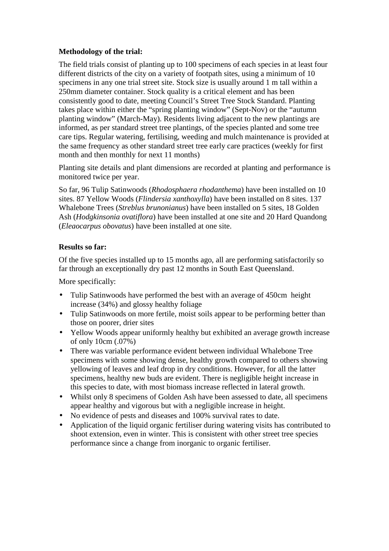#### **Methodology of the trial:**

The field trials consist of planting up to 100 specimens of each species in at least four different districts of the city on a variety of footpath sites, using a minimum of 10 specimens in any one trial street site. Stock size is usually around 1 m tall within a 250mm diameter container. Stock quality is a critical element and has been consistently good to date, meeting Council's Street Tree Stock Standard. Planting takes place within either the "spring planting window" (Sept-Nov) or the "autumn planting window" (March-May). Residents living adjacent to the new plantings are informed, as per standard street tree plantings, of the species planted and some tree care tips. Regular watering, fertilising, weeding and mulch maintenance is provided at the same frequency as other standard street tree early care practices (weekly for first month and then monthly for next 11 months)

Planting site details and plant dimensions are recorded at planting and performance is monitored twice per year.

So far, 96 Tulip Satinwoods (*Rhodosphaera rhodanthema*) have been installed on 10 sites. 87 Yellow Woods (*Flindersia xanthoxylla*) have been installed on 8 sites. 137 Whalebone Trees (*Streblus brunonianus*) have been installed on 5 sites, 18 Golden Ash (*Hodgkinsonia ovatiflora*) have been installed at one site and 20 Hard Quandong (*Eleaocarpus obovatus*) have been installed at one site.

#### **Results so far:**

Of the five species installed up to 15 months ago, all are performing satisfactorily so far through an exceptionally dry past 12 months in South East Queensland.

More specifically:

- Tulip Satinwoods have performed the best with an average of 450cm height increase (34%) and glossy healthy foliage
- Tulip Satinwoods on more fertile, moist soils appear to be performing better than those on poorer, drier sites
- Yellow Woods appear uniformly healthy but exhibited an average growth increase of only 10cm (.07%)
- There was variable performance evident between individual Whalebone Tree specimens with some showing dense, healthy growth compared to others showing yellowing of leaves and leaf drop in dry conditions. However, for all the latter specimens, healthy new buds are evident. There is negligible height increase in this species to date, with most biomass increase reflected in lateral growth.
- Whilst only 8 specimens of Golden Ash have been assessed to date, all specimens appear healthy and vigorous but with a negligible increase in height.
- No evidence of pests and diseases and 100% survival rates to date.
- Application of the liquid organic fertiliser during watering visits has contributed to shoot extension, even in winter. This is consistent with other street tree species performance since a change from inorganic to organic fertiliser.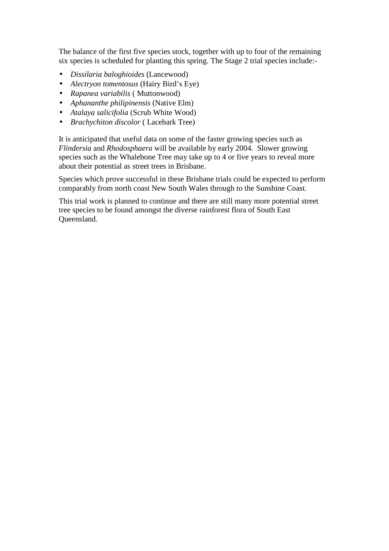The balance of the first five species stock, together with up to four of the remaining six species is scheduled for planting this spring. The Stage 2 trial species include:-

- *Dissilaria baloghioides* (Lancewood)
- *Alectryon tomentosus* (Hairy Bird's Eye)
- *Rapanea variabilis* ( Muttonwood)
- *Aphananthe philipinensis* (Native Elm)
- *Atalaya salicifolia* (Scrub White Wood)
- *Brachychiton discolor* ( Lacebark Tree)

It is anticipated that useful data on some of the faster growing species such as *Flindersia* and *Rhodosphaera* will be available by early 2004. Slower growing species such as the Whalebone Tree may take up to 4 or five years to reveal more about their potential as street trees in Brisbane.

Species which prove successful in these Brisbane trials could be expected to perform comparably from north coast New South Wales through to the Sunshine Coast.

This trial work is planned to continue and there are still many more potential street tree species to be found amongst the diverse rainforest flora of South East Queensland.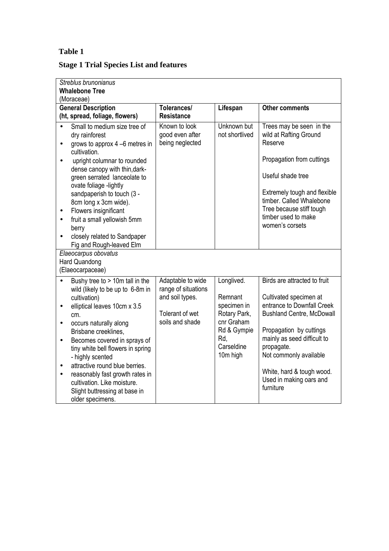### **Table 1**

## **Stage 1 Trial Species List and features**

| Streblus brunonianus<br><b>Whalebone Tree</b><br>(Moraceae)        |                                                                                                                                                                                                                                                                                                                                                                                                                                |                                                                                                   |                                                                                                                    |                                                                                                                                                                                                                                                                                                 |  |
|--------------------------------------------------------------------|--------------------------------------------------------------------------------------------------------------------------------------------------------------------------------------------------------------------------------------------------------------------------------------------------------------------------------------------------------------------------------------------------------------------------------|---------------------------------------------------------------------------------------------------|--------------------------------------------------------------------------------------------------------------------|-------------------------------------------------------------------------------------------------------------------------------------------------------------------------------------------------------------------------------------------------------------------------------------------------|--|
| <b>General Description</b><br>(ht, spread, foliage, flowers)       |                                                                                                                                                                                                                                                                                                                                                                                                                                | Tolerances/<br><b>Resistance</b>                                                                  | Lifespan                                                                                                           | <b>Other comments</b>                                                                                                                                                                                                                                                                           |  |
| $\bullet$<br>$\bullet$<br>$\bullet$<br>٠<br>$\bullet$<br>$\bullet$ | Small to medium size tree of<br>dry rainforest<br>grows to approx $4 - 6$ metres in<br>cultivation.<br>upright columnar to rounded<br>dense canopy with thin, dark-<br>green serrated lanceolate to<br>ovate foliage -lightly<br>sandpaperish to touch (3 -<br>8cm long x 3cm wide).<br>Flowers insignificant<br>fruit a small yellowish 5mm<br>berry<br>closely related to Sandpaper<br>Fig and Rough-leaved Elm              | Known to look<br>good even after<br>being neglected                                               | Unknown but<br>not shortlived                                                                                      | Trees may be seen in the<br>wild at Rafting Ground<br>Reserve<br>Propagation from cuttings<br>Useful shade tree<br>Extremely tough and flexible<br>timber. Called Whalebone<br>Tree because stiff tough<br>timber used to make<br>women's corsets                                               |  |
| Elaeocarpus obovatus<br><b>Hard Quandong</b><br>(Elaeocarpaceae)   |                                                                                                                                                                                                                                                                                                                                                                                                                                |                                                                                                   |                                                                                                                    |                                                                                                                                                                                                                                                                                                 |  |
| $\bullet$<br>$\bullet$<br>$\bullet$<br>$\bullet$<br>$\bullet$      | Bushy tree to > 10m tall in the<br>wild (likely to be up to 6-8m in<br>cultivation)<br>elliptical leaves 10cm x 3.5<br>cm.<br>occurs naturally along<br>Brisbane creeklines,<br>Becomes covered in sprays of<br>tiny white bell flowers in spring<br>- highly scented<br>attractive round blue berries.<br>reasonably fast growth rates in<br>cultivation. Like moisture.<br>Slight buttressing at base in<br>older specimens. | Adaptable to wide<br>range of situations<br>and soil types.<br>Tolerant of wet<br>soils and shade | Longlived.<br>Remnant<br>specimen in<br>Rotary Park,<br>cnr Graham<br>Rd & Gympie<br>Rd.<br>Carseldine<br>10m high | Birds are attracted to fruit<br>Cultivated specimen at<br>entrance to Downfall Creek<br><b>Bushland Centre, McDowall</b><br>Propagation by cuttings<br>mainly as seed difficult to<br>propagate.<br>Not commonly available<br>White, hard & tough wood.<br>Used in making oars and<br>furniture |  |